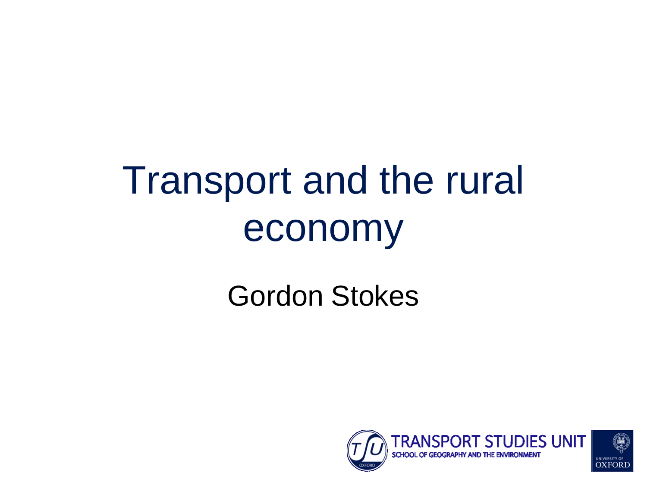# Transport and the rural economy

#### Gordon Stokes

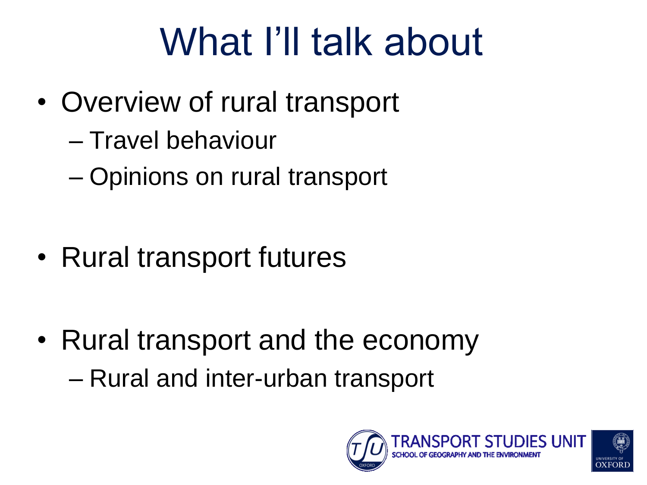# What I'll talk about

- Overview of rural transport
	- Travel behaviour
	- Opinions on rural transport

• Rural transport futures

• Rural transport and the economy – Rural and inter-urban transport

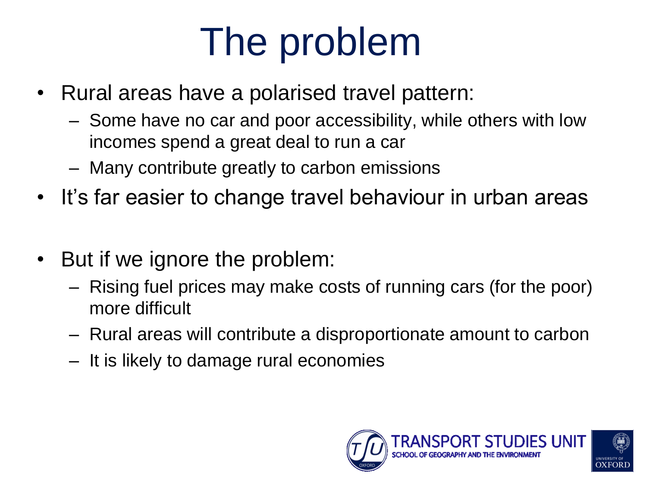# The problem

- Rural areas have a polarised travel pattern:
	- Some have no car and poor accessibility, while others with low incomes spend a great deal to run a car
	- Many contribute greatly to carbon emissions
- It's far easier to change travel behaviour in urban areas
- But if we ignore the problem:
	- Rising fuel prices may make costs of running cars (for the poor) more difficult
	- Rural areas will contribute a disproportionate amount to carbon
	- It is likely to damage rural economies

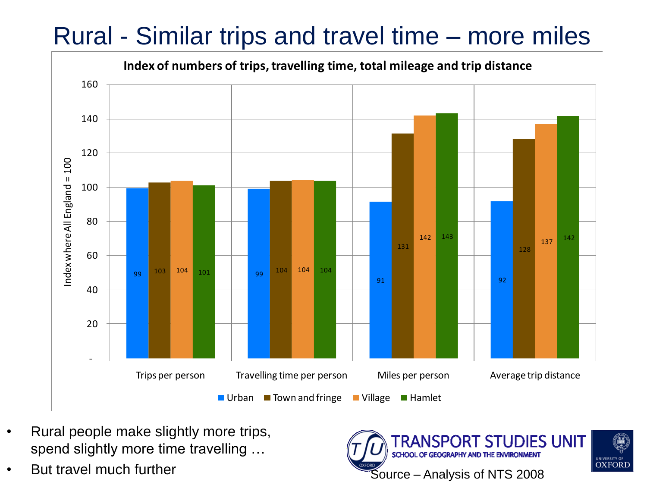#### Rural - Similar trips and travel time – more miles



- Rural people make slightly more trips, spend slightly more time travelling …
- But travel much further

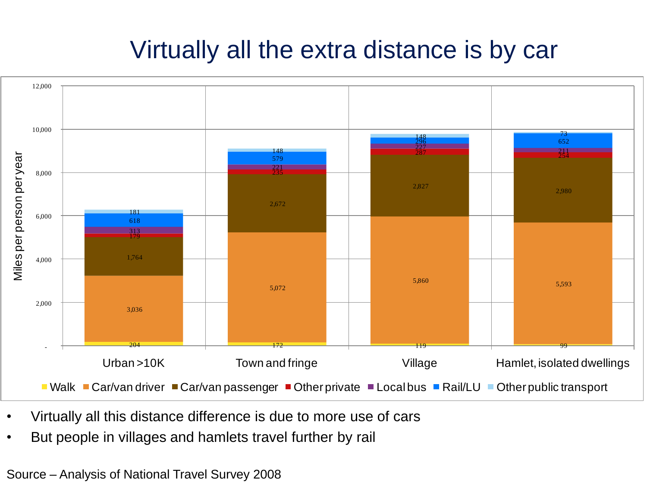#### Virtually all the extra distance is by car



- Virtually all this distance difference is due to more use of cars
- But people in villages and hamlets travel further by rail

Source – Analysis of National Travel Survey 2008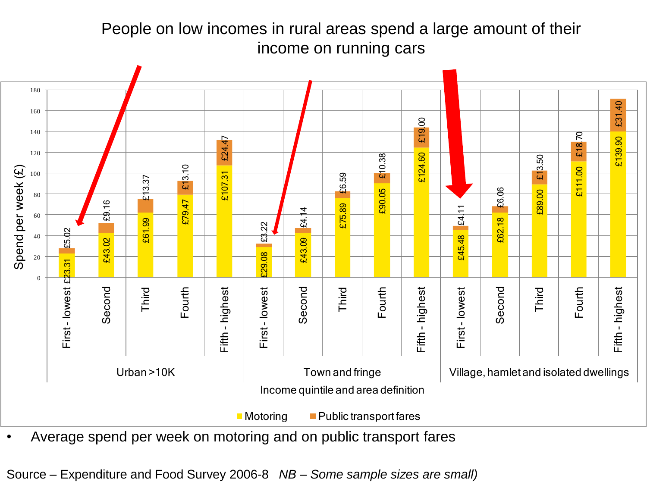People on low incomes in rural areas spend a large amount of their income on running cars



Source – Expenditure and Food Survey 2006-8 *NB – Some sample sizes are small)*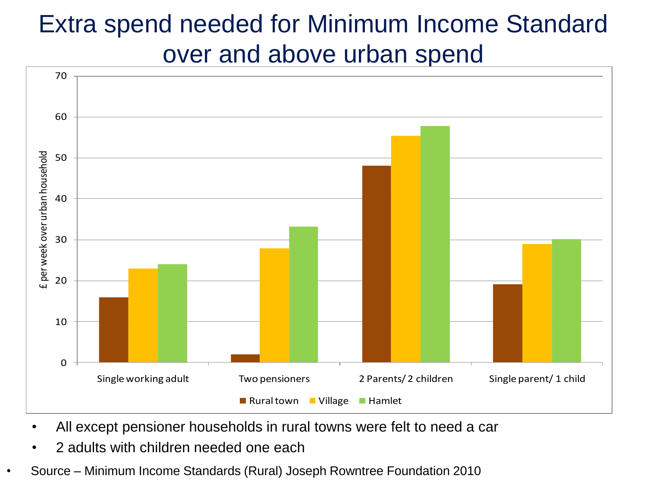### Extra spend needed for Minimum Income Standard over and above urban spend  $\frac{1}{70}$



- All except pensioner households in rural towns were felt to need a car
- 2 adults with children needed one each
- Source Minimum Income Standards (Rural) Joseph Rowntree Foundation 2010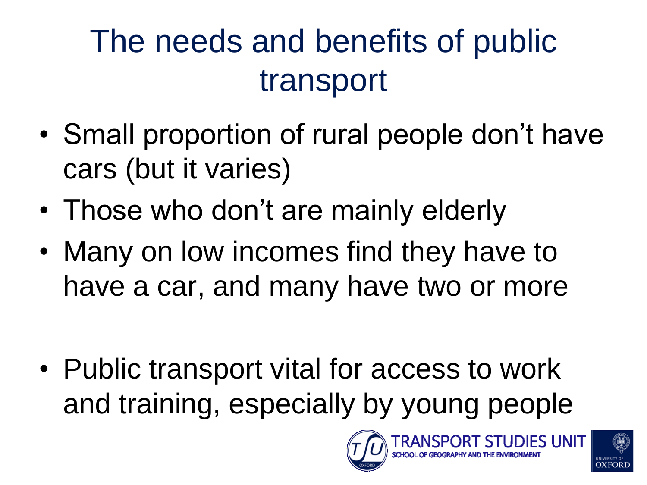### The needs and benefits of public transport

- Small proportion of rural people don't have cars (but it varies)
- Those who don't are mainly elderly
- Many on low incomes find they have to have a car, and many have two or more
- Public transport vital for access to work and training, especially by young people



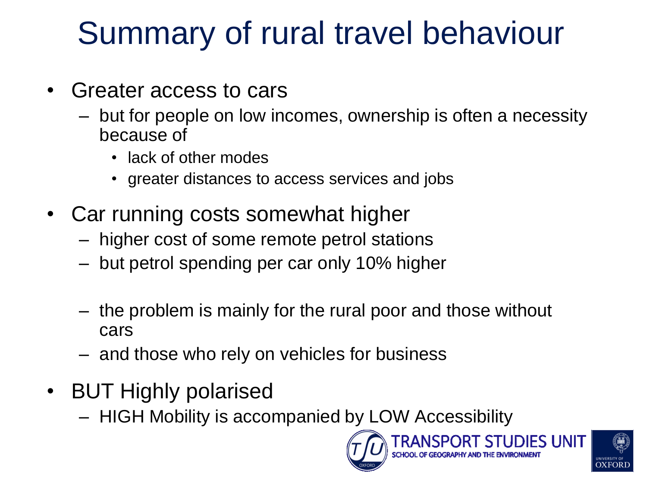### Summary of rural travel behaviour

- Greater access to cars
	- but for people on low incomes, ownership is often a necessity because of
		- lack of other modes
		- greater distances to access services and jobs
- Car running costs somewhat higher
	- higher cost of some remote petrol stations
	- but petrol spending per car only 10% higher
	- the problem is mainly for the rural poor and those without cars
	- and those who rely on vehicles for business
- BUT Highly polarised
	- HIGH Mobility is accompanied by LOW Accessibility



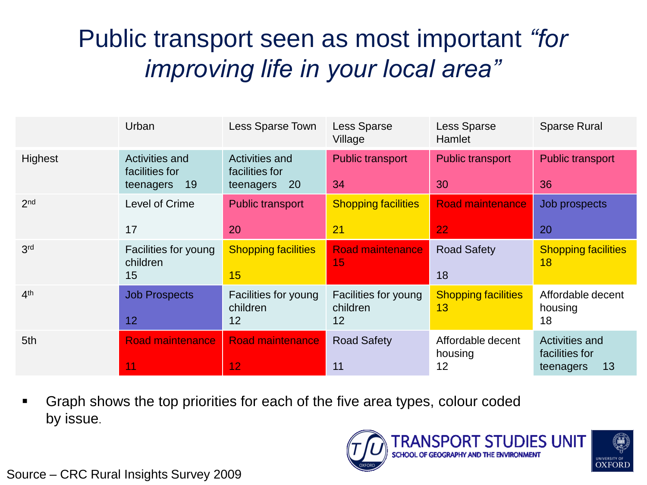#### Public transport seen as most important *"for improving life in your local area"*

|                 | Urban                                                      | Less Sparse Town                                                  | <b>Less Sparse</b><br>Village          | Less Sparse<br>Hamlet              | <b>Sparse Rural</b>                                        |
|-----------------|------------------------------------------------------------|-------------------------------------------------------------------|----------------------------------------|------------------------------------|------------------------------------------------------------|
| Highest         | <b>Activities and</b><br>facilities for<br>19<br>teenagers | <b>Activities and</b><br>facilities for<br>teenagers<br><b>20</b> | <b>Public transport</b><br>34          | <b>Public transport</b><br>30      | <b>Public transport</b><br>36                              |
| 2 <sub>nd</sub> | Level of Crime<br>17                                       | <b>Public transport</b><br>20                                     | <b>Shopping facilities</b><br>21       | <b>Road maintenance</b><br>22      | Job prospects<br>20                                        |
| 3 <sup>rd</sup> | Facilities for young<br>children<br>15                     | <b>Shopping facilities</b><br>15                                  | <b>Road maintenance</b><br>15          | <b>Road Safety</b><br>18           | <b>Shopping facilities</b><br>18                           |
| 4 <sup>th</sup> | <b>Job Prospects</b><br>12                                 | Facilities for young<br>children<br>12                            | Facilities for young<br>children<br>12 | <b>Shopping facilities</b><br>13   | Affordable decent<br>housing<br>18                         |
| 5th             | <b>Road maintenance</b><br>1                               | <b>Road maintenance</b><br>12                                     | <b>Road Safety</b><br>11               | Affordable decent<br>housing<br>12 | <b>Activities and</b><br>facilities for<br>13<br>teenagers |

 Graph shows the top priorities for each of the five area types, colour coded by issue.

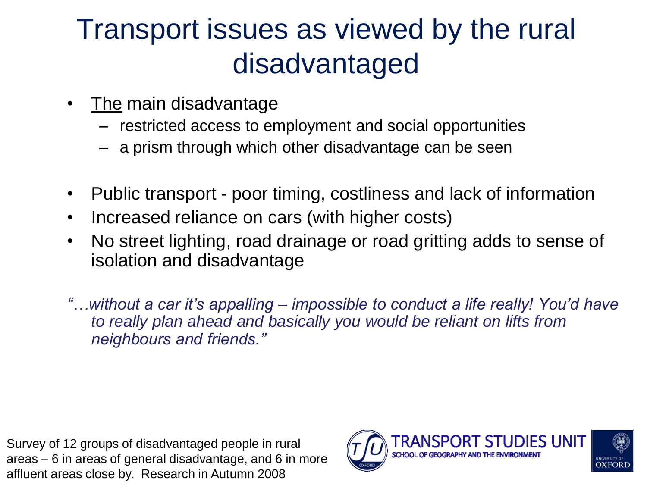#### Transport issues as viewed by the rural disadvantaged

- The main disadvantage
	- restricted access to employment and social opportunities
	- a prism through which other disadvantage can be seen
- Public transport poor timing, costliness and lack of information
- Increased reliance on cars (with higher costs)
- No street lighting, road drainage or road gritting adds to sense of isolation and disadvantage
- *"…without a car it's appalling – impossible to conduct a life really! You'd have to really plan ahead and basically you would be reliant on lifts from neighbours and friends."*

Survey of 12 groups of disadvantaged people in rural areas – 6 in areas of general disadvantage, and 6 in more affluent areas close by. Research in Autumn 2008

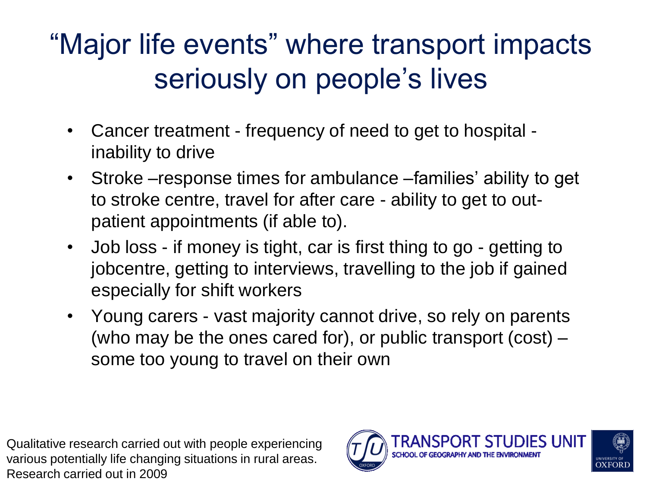### "Major life events" where transport impacts seriously on people's lives

- Cancer treatment frequency of need to get to hospital inability to drive
- Stroke response times for ambulance families' ability to get to stroke centre, travel for after care - ability to get to outpatient appointments (if able to).
- Job loss if money is tight, car is first thing to go getting to jobcentre, getting to interviews, travelling to the job if gained especially for shift workers
- Young carers vast majority cannot drive, so rely on parents (who may be the ones cared for), or public transport (cost) – some too young to travel on their own

Qualitative research carried out with people experiencing various potentially life changing situations in rural areas. Research carried out in 2009

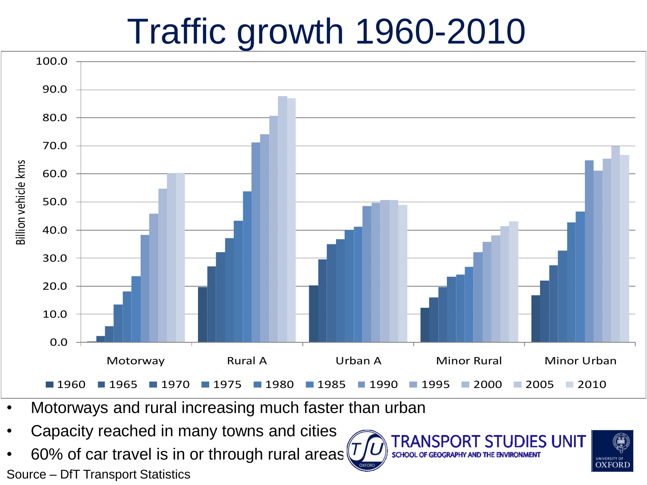### Traffic growth 1960-2010



- Motorways and rural increasing much faster than urban
- Capacity reached in many towns and cities
- 60% of car travel is in or through rural areas Source – DfT Transport Statistics



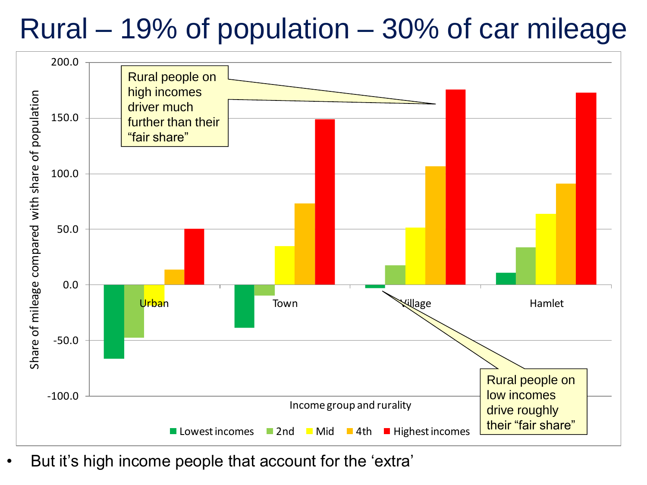#### Rural – 19% of population – 30% of car mileage



But it's high income people that account for the 'extra'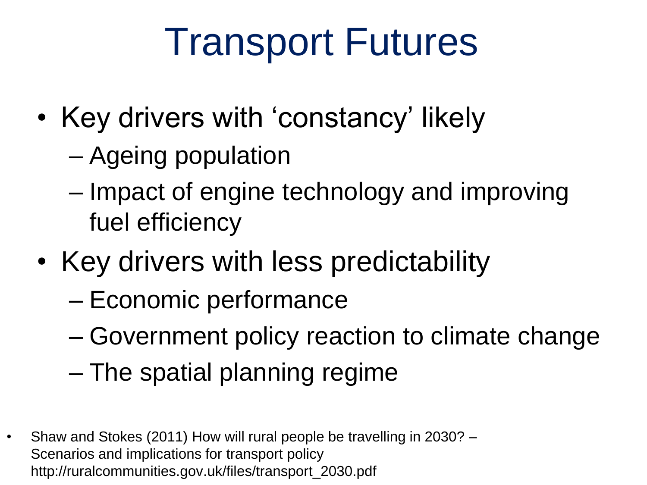### Transport Futures

- Key drivers with 'constancy' likely
	- Ageing population
	- Impact of engine technology and improving fuel efficiency
- Key drivers with less predictability
	- Economic performance
	- Government policy reaction to climate change
	- The spatial planning regime
- Shaw and Stokes (2011) How will rural people be travelling in 2030? Scenarios and implications for transport policy http://ruralcommunities.gov.uk/files/transport\_2030.pdf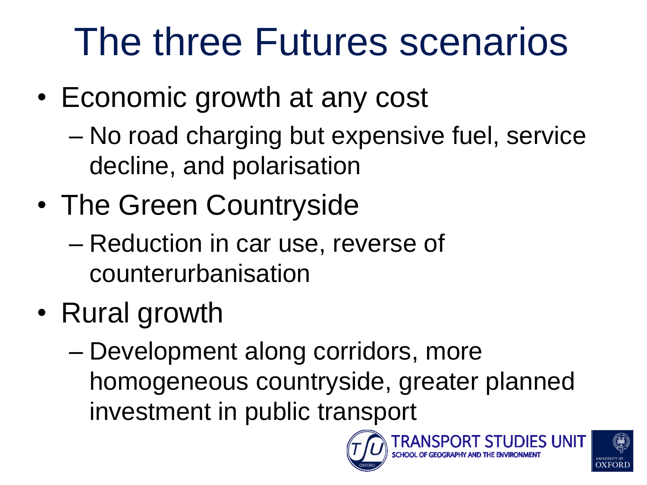## The three Futures scenarios

- Economic growth at any cost
	- No road charging but expensive fuel, service decline, and polarisation
- The Green Countryside
	- Reduction in car use, reverse of counterurbanisation
- Rural growth
	- Development along corridors, more homogeneous countryside, greater planned investment in public transport



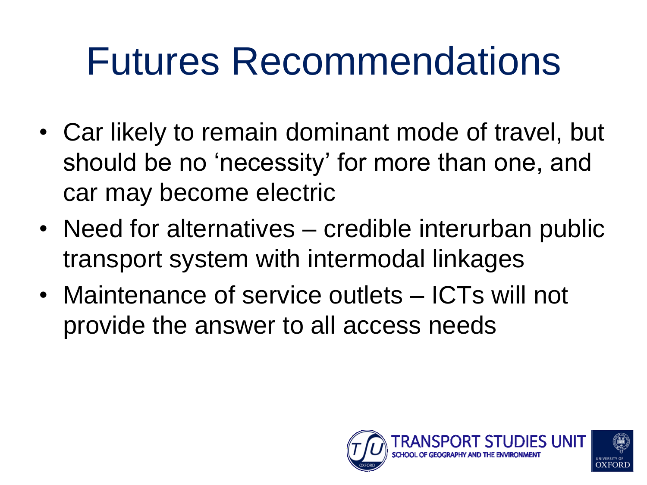### Futures Recommendations

- Car likely to remain dominant mode of travel, but should be no 'necessity' for more than one, and car may become electric
- Need for alternatives credible interurban public transport system with intermodal linkages
- Maintenance of service outlets ICTs will not provide the answer to all access needs

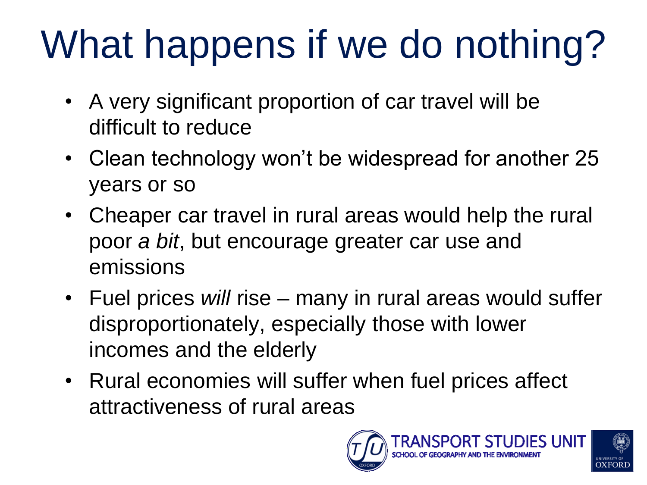# What happens if we do nothing?

- A very significant proportion of car travel will be difficult to reduce
- Clean technology won"t be widespread for another 25 years or so
- Cheaper car travel in rural areas would help the rural poor *a bit*, but encourage greater car use and emissions
- Fuel prices *will* rise many in rural areas would suffer disproportionately, especially those with lower incomes and the elderly
- Rural economies will suffer when fuel prices affect attractiveness of rural areas



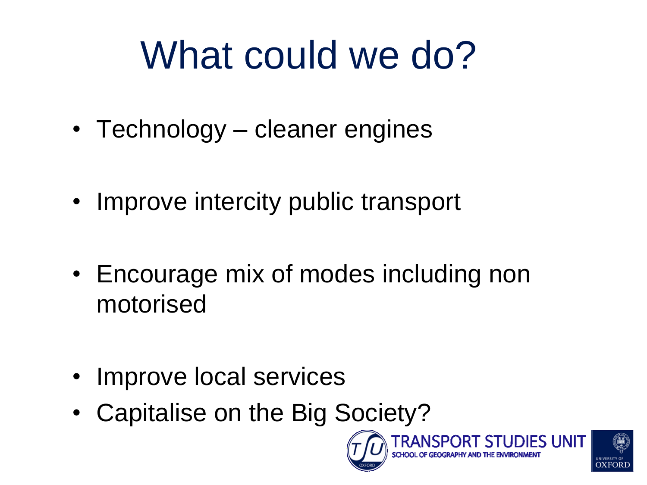# What could we do?

- Technology cleaner engines
- Improve intercity public transport
- Encourage mix of modes including non motorised
- Improve local services
- Capitalise on the Big Society?



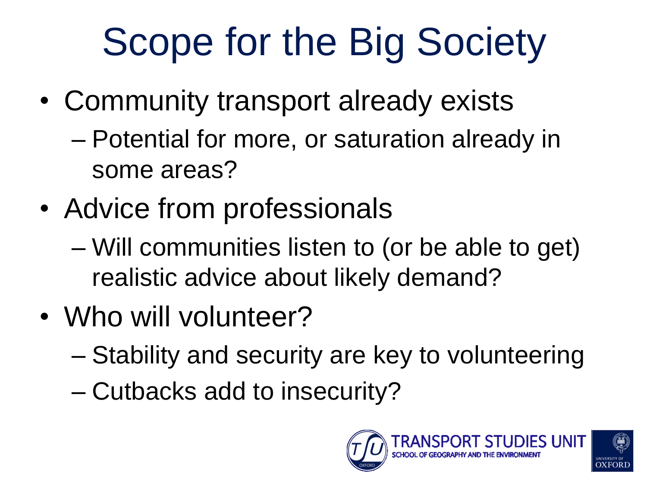# Scope for the Big Society

- Community transport already exists
	- Potential for more, or saturation already in some areas?
- Advice from professionals
	- Will communities listen to (or be able to get) realistic advice about likely demand?
- Who will volunteer?
	- Stability and security are key to volunteering
	- Cutbacks add to insecurity?



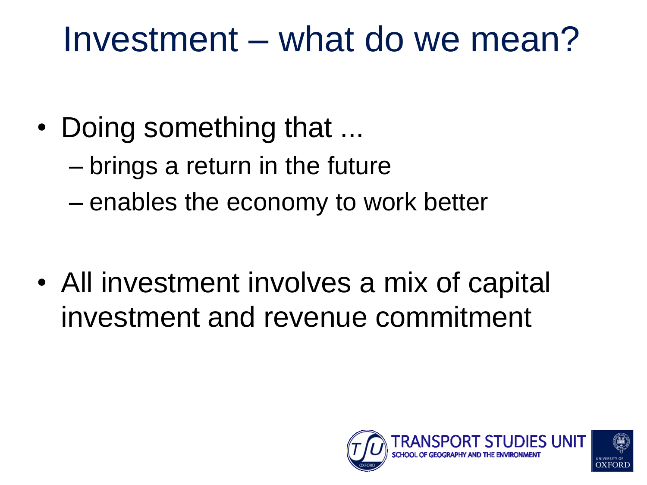### Investment – what do we mean?

- Doing something that ...
	- brings a return in the future
	- enables the economy to work better

• All investment involves a mix of capital investment and revenue commitment

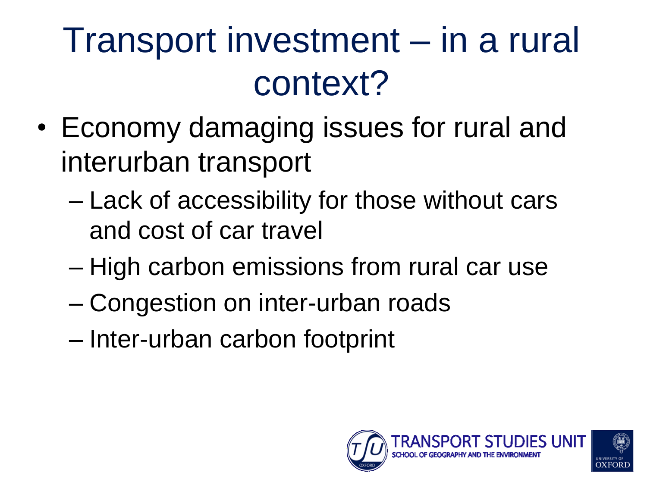### Transport investment – in a rural context?

- Economy damaging issues for rural and interurban transport
	- Lack of accessibility for those without cars and cost of car travel
	- High carbon emissions from rural car use
	- Congestion on inter-urban roads
	- Inter-urban carbon footprint

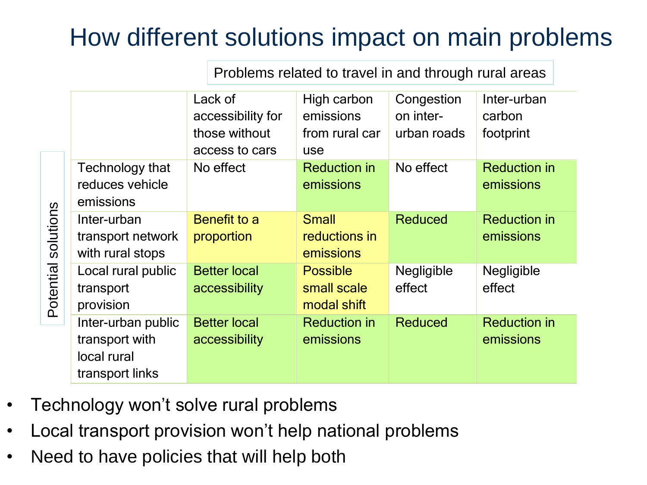#### How different solutions impact on main problems

Problems related to travel in and through rural areas

|                        |                                                                        | Lack of<br>accessibility for<br>those without<br>access to cars | High carbon<br>emissions<br>from rural car<br>use | Congestion<br>on inter-<br>urban roads | Inter-urban<br>carbon<br>footprint |
|------------------------|------------------------------------------------------------------------|-----------------------------------------------------------------|---------------------------------------------------|----------------------------------------|------------------------------------|
| solutions<br>Potential | Technology that<br>reduces vehicle<br>emissions                        | No effect                                                       | <b>Reduction in</b><br>emissions                  | No effect                              | <b>Reduction in</b><br>emissions   |
|                        | Inter-urban<br>transport network<br>with rural stops                   | Benefit to a<br>proportion                                      | <b>Small</b><br>reductions in<br>emissions        | <b>Reduced</b>                         | <b>Reduction in</b><br>emissions   |
|                        | Local rural public<br>transport<br>provision                           | <b>Better local</b><br>accessibility                            | <b>Possible</b><br>small scale<br>modal shift     | Negligible<br>effect                   | Negligible<br>effect               |
|                        | Inter-urban public<br>transport with<br>local rural<br>transport links | <b>Better local</b><br>accessibility                            | <b>Reduction in</b><br>emissions                  | <b>Reduced</b>                         | <b>Reduction in</b><br>emissions   |

- Technology won"t solve rural problems
- Local transport provision won"t help national problems
- Need to have policies that will help both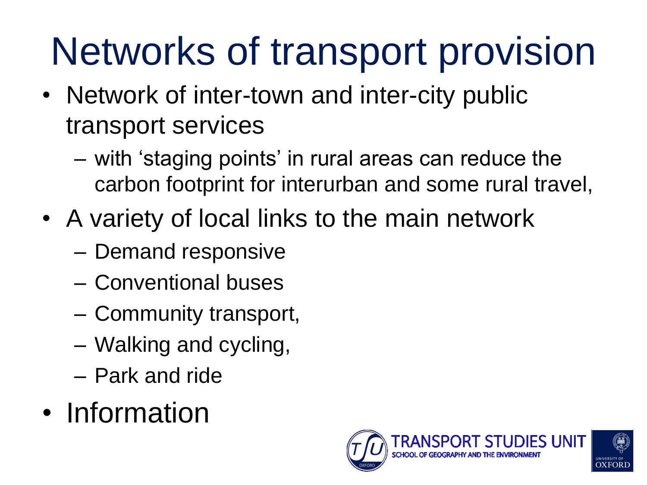# Networks of transport provision

- Network of inter-town and inter-city public transport services
	- with "staging points" in rural areas can reduce the carbon footprint for interurban and some rural travel,
- A variety of local links to the main network
	- Demand responsive
	- Conventional buses
	- Community transport,
	- Walking and cycling,
	- Park and ride
- Information

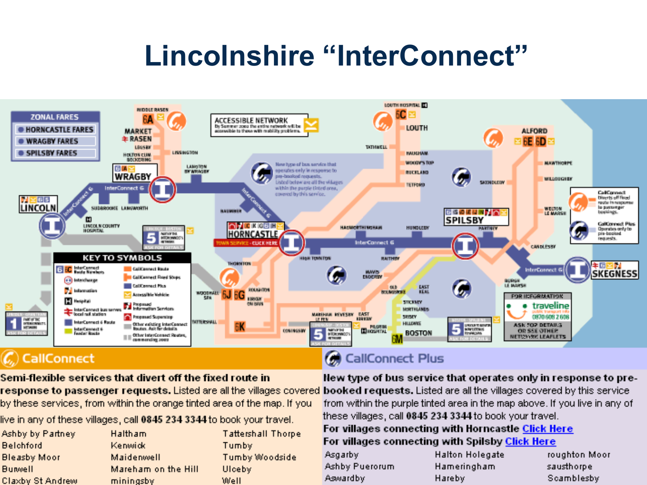#### **Lincolnshire "InterConnect"**



Semi-flexible services that divert off the fixed route in response to passenger requests. Listed are all the villages covered booked requests. Listed are all the villages covered by this service by these services, from within the orange tinted area of the map. If you

live in any of these villages, call 0845 234 3344 to book your travel.

| Ashby by Partney    | Haltham             | <b>Tattershall Thorpe</b> |
|---------------------|---------------------|---------------------------|
| <b>Belchford</b>    | Kenwick             | Tumby                     |
| <b>Bleasby Moor</b> | Maidenwell          | Tumby Woodside            |
| <b>Burwell</b>      | Mareham on the Hill | Ulceby.                   |
| Claxby St Andrew    | mininasby           | Well                      |

New type of bus service that operates only in response to prefrom within the purple tinted area in the map above. If you live in any of these villages, call 0845 234 3344 to book your travel.

#### For villages connecting with Horncastle Click Here For villages connecting with Spilsby Click Here

| Asgarby        |
|----------------|
| Ashby Puerorum |
| Aswardby       |

- **Halton Holegate** Hameringham Hareby
- roughton Moor sausthorpe Scamblesby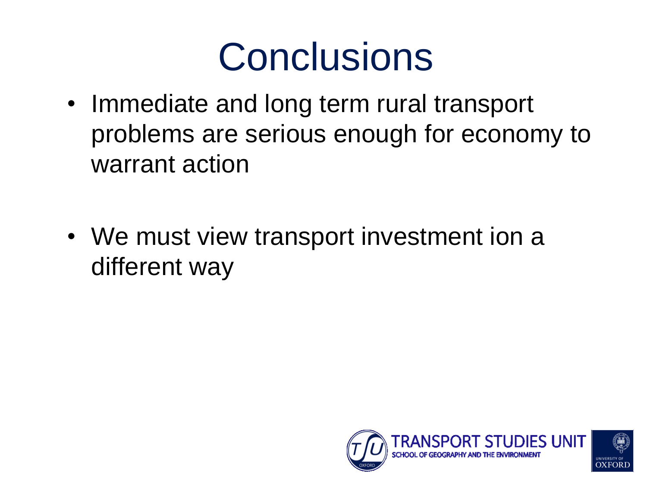### **Conclusions**

- Immediate and long term rural transport problems are serious enough for economy to warrant action
- We must view transport investment ion a different way